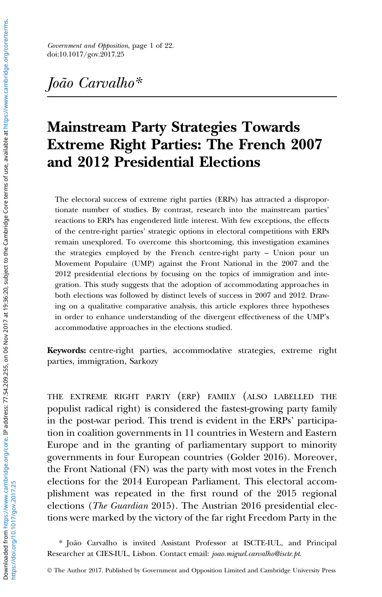Government and Opposition, page 1 of 22. doi:10.1017/gov.2017.25

## [João Carvalho\\*](http://orcid.org/0000-0003-3186-0954)

# Mainstream Party Strategies Towards Extreme Right Parties: The French 2007 and 2012 Presidential Elections

The electoral success of extreme right parties (ERPs) has attracted a disproportionate number of studies. By contrast, research into the mainstream parties' reactions to ERPs has engendered little interest. With few exceptions, the effects of the centre-right parties' strategic options in electoral competitions with ERPs remain unexplored. To overcome this shortcoming, this investigation examines the strategies employed by the French centre-right party – Union pour un Movement Populaire (UMP) against the Front National in the 2007 and the 2012 presidential elections by focusing on the topics of immigration and integration. This study suggests that the adoption of accommodating approaches in both elections was followed by distinct levels of success in 2007 and 2012. Drawing on a qualitative comparative analysis, this article explores three hypotheses in order to enhance understanding of the divergent effectiveness of the UMP's accommodative approaches in the elections studied.

Keywords: centre-right parties, accommodative strategies, extreme right parties, immigration, Sarkozy

THE EXTREME RIGHT PARTY (ERP) FAMILY (ALSO LABELLED THE populist radical right) is considered the fastest-growing party family in the post-war period. This trend is evident in the ERPs' participation in coalition governments in 11 countries in Western and Eastern Europe and in the granting of parliamentary support to minority governments in four European countries (Golder [2016](#page-19-0)). Moreover, the Front National (FN) was the party with most votes in the French elections for the 2014 European Parliament. This electoral accomplishment was repeated in the first round of the 2015 regional elections (The Guardian [2015\)](#page-19-0). The Austrian 2016 presidential elections were marked by the victory of the far right Freedom Party in the

\* João Carvalho is invited Assistant Professor at ISCTE-IUL, and Principal Researcher at CIES-IUL, Lisbon. Contact email: [joao.miguel.carvalho@iscte.pt](mailto:joao.miguel.carvalho@iscte.pt).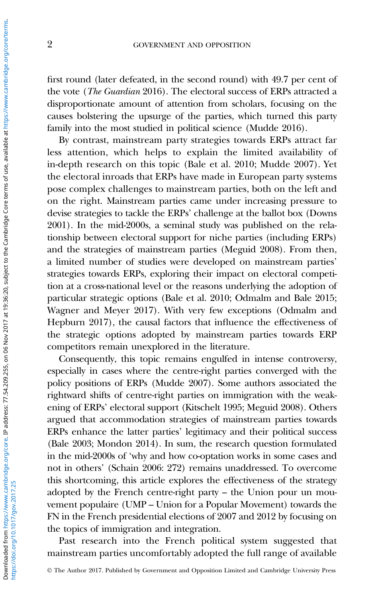first round (later defeated, in the second round) with 49.7 per cent of the vote (The Guardian [2016\)](#page-19-0). The electoral success of ERPs attracted a disproportionate amount of attention from scholars, focusing on the causes bolstering the upsurge of the parties, which turned this party family into the most studied in political science (Mudde [2016](#page-20-0)).

By contrast, mainstream party strategies towards ERPs attract far less attention, which helps to explain the limited availability of in-depth research on this topic (Bale et al. [2010;](#page-18-0) Mudde [2007\)](#page-20-0). Yet the electoral inroads that ERPs have made in European party systems pose complex challenges to mainstream parties, both on the left and on the right. Mainstream parties came under increasing pressure to devise strategies to tackle the ERPs' challenge at the ballot box (Downs [2001](#page-18-0)). In the mid-2000s, a seminal study was published on the relationship between electoral support for niche parties (including ERPs) and the strategies of mainstream parties (Meguid [2008](#page-20-0)). From then, a limited number of studies were developed on mainstream parties' strategies towards ERPs, exploring their impact on electoral competition at a cross-national level or the reasons underlying the adoption of particular strategic options (Bale et al. [2010;](#page-18-0) Odmalm and Bale [2015;](#page-20-0) Wagner and Meyer [2017](#page-21-0)). With very few exceptions (Odmalm and Hepburn [2017\)](#page-20-0), the causal factors that influence the effectiveness of the strategic options adopted by mainstream parties towards ERP competitors remain unexplored in the literature.

Consequently, this topic remains engulfed in intense controversy, especially in cases where the centre-right parties converged with the policy positions of ERPs (Mudde [2007\)](#page-20-0). Some authors associated the rightward shifts of centre-right parties on immigration with the weakening of ERPs' electoral support (Kitschelt [1995;](#page-19-0) Meguid [2008](#page-20-0)). Others argued that accommodation strategies of mainstream parties towards ERPs enhance the latter parties' legitimacy and their political success (Bale [2003;](#page-18-0) Mondon [2014\)](#page-20-0). In sum, the research question formulated in the mid-2000s of 'why and how co-optation works in some cases and not in others' (Schain [2006](#page-20-0): 272) remains unaddressed. To overcome this shortcoming, this article explores the effectiveness of the strategy adopted by the French centre-right party – the Union pour un mouvement populaire (UMP – Union for a Popular Movement) towards the FN in the French presidential elections of 2007 and 2012 by focusing on the topics of immigration and integration.

Past research into the French political system suggested that mainstream parties uncomfortably adopted the full range of available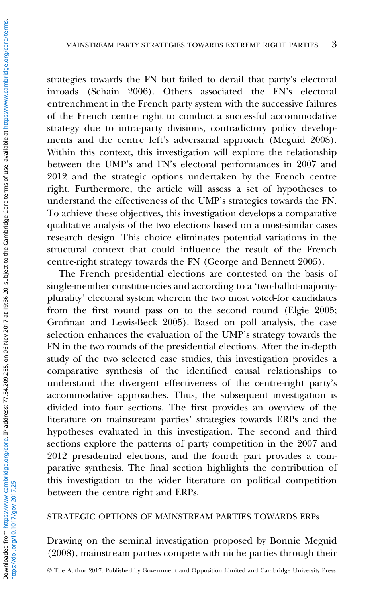strategies towards the FN but failed to derail that party's electoral inroads (Schain [2006\)](#page-20-0). Others associated the FN's electoral entrenchment in the French party system with the successive failures of the French centre right to conduct a successful accommodative strategy due to intra-party divisions, contradictory policy developments and the centre left's adversarial approach (Meguid [2008](#page-20-0)). Within this context, this investigation will explore the relationship between the UMP's and FN's electoral performances in 2007 and 2012 and the strategic options undertaken by the French centre right. Furthermore, the article will assess a set of hypotheses to understand the effectiveness of the UMP's strategies towards the FN. To achieve these objectives, this investigation develops a comparative qualitative analysis of the two elections based on a most-similar cases research design. This choice eliminates potential variations in the structural context that could influence the result of the French centre-right strategy towards the FN (George and Bennett [2005\)](#page-19-0).

The French presidential elections are contested on the basis of single-member constituencies and according to a 'two-ballot-majorityplurality' electoral system wherein the two most voted-for candidates from the first round pass on to the second round (Elgie [2005;](#page-19-0) Grofman and Lewis-Beck [2005](#page-19-0)). Based on poll analysis, the case selection enhances the evaluation of the UMP's strategy towards the FN in the two rounds of the presidential elections. After the in-depth study of the two selected case studies, this investigation provides a comparative synthesis of the identified causal relationships to understand the divergent effectiveness of the centre-right party's accommodative approaches. Thus, the subsequent investigation is divided into four sections. The first provides an overview of the literature on mainstream parties' strategies towards ERPs and the hypotheses evaluated in this investigation. The second and third sections explore the patterns of party competition in the 2007 and 2012 presidential elections, and the fourth part provides a comparative synthesis. The final section highlights the contribution of this investigation to the wider literature on political competition between the centre right and ERPs.

#### STRATEGIC OPTIONS OF MAINSTREAM PARTIES TOWARDS ERPs

Drawing on the seminal investigation proposed by Bonnie Meguid ([2008](#page-20-0)), mainstream parties compete with niche parties through their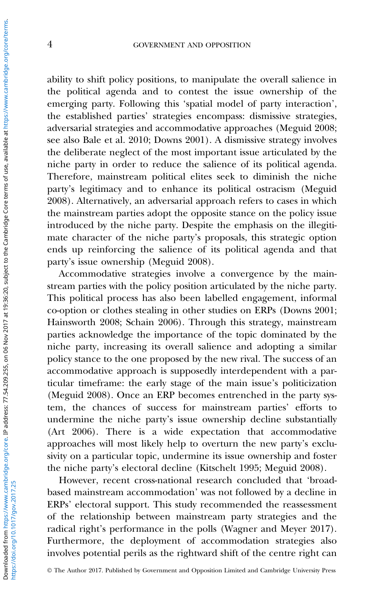ability to shift policy positions, to manipulate the overall salience in the political agenda and to contest the issue ownership of the emerging party. Following this 'spatial model of party interaction', the established parties' strategies encompass: dismissive strategies, adversarial strategies and accommodative approaches (Meguid [2008;](#page-20-0) see also Bale et al. [2010](#page-18-0); Downs [2001](#page-18-0)). A dismissive strategy involves the deliberate neglect of the most important issue articulated by the niche party in order to reduce the salience of its political agenda. Therefore, mainstream political elites seek to diminish the niche party's legitimacy and to enhance its political ostracism (Meguid [2008\)](#page-20-0). Alternatively, an adversarial approach refers to cases in which the mainstream parties adopt the opposite stance on the policy issue introduced by the niche party. Despite the emphasis on the illegitimate character of the niche party's proposals, this strategic option ends up reinforcing the salience of its political agenda and that party's issue ownership (Meguid [2008\)](#page-20-0).

Accommodative strategies involve a convergence by the mainstream parties with the policy position articulated by the niche party. This political process has also been labelled engagement, informal co-option or clothes stealing in other studies on ERPs (Downs [2001;](#page-18-0) Hainsworth [2008;](#page-19-0) Schain [2006](#page-20-0)). Through this strategy, mainstream parties acknowledge the importance of the topic dominated by the niche party, increasing its overall salience and adopting a similar policy stance to the one proposed by the new rival. The success of an accommodative approach is supposedly interdependent with a particular timeframe: the early stage of the main issue's politicization (Meguid [2008](#page-20-0)). Once an ERP becomes entrenched in the party system, the chances of success for mainstream parties' efforts to undermine the niche party's issue ownership decline substantially (Art [2006](#page-18-0)). There is a wide expectation that accommodative approaches will most likely help to overturn the new party's exclusivity on a particular topic, undermine its issue ownership and foster the niche party's electoral decline (Kitschelt [1995](#page-19-0); Meguid [2008\)](#page-20-0).

However, recent cross-national research concluded that 'broadbased mainstream accommodation' was not followed by a decline in ERPs' electoral support. This study recommended the reassessment of the relationship between mainstream party strategies and the radical right's performance in the polls (Wagner and Meyer [2017](#page-21-0)). Furthermore, the deployment of accommodation strategies also involves potential perils as the rightward shift of the centre right can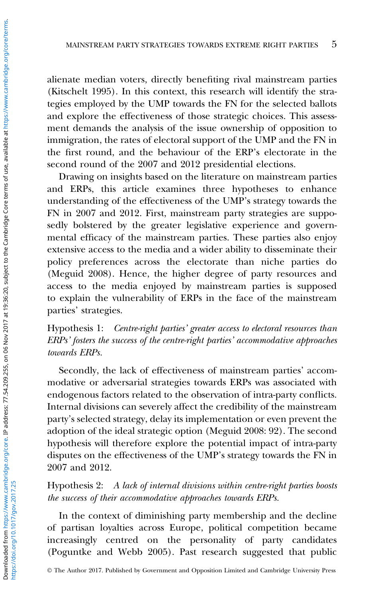alienate median voters, directly benefiting rival mainstream parties (Kitschelt [1995](#page-19-0)). In this context, this research will identify the strategies employed by the UMP towards the FN for the selected ballots and explore the effectiveness of those strategic choices. This assessment demands the analysis of the issue ownership of opposition to immigration, the rates of electoral support of the UMP and the FN in the first round, and the behaviour of the ERP's electorate in the second round of the 2007 and 2012 presidential elections.

Drawing on insights based on the literature on mainstream parties and ERPs, this article examines three hypotheses to enhance understanding of the effectiveness of the UMP's strategy towards the FN in 2007 and 2012. First, mainstream party strategies are supposedly bolstered by the greater legislative experience and governmental efficacy of the mainstream parties. These parties also enjoy extensive access to the media and a wider ability to disseminate their policy preferences across the electorate than niche parties do (Meguid [2008\)](#page-20-0). Hence, the higher degree of party resources and access to the media enjoyed by mainstream parties is supposed to explain the vulnerability of ERPs in the face of the mainstream parties' strategies.

### Hypothesis 1: Centre-right parties' greater access to electoral resources than ERPs' fosters the success of the centre-right parties' accommodative approaches towards ERPs.

Secondly, the lack of effectiveness of mainstream parties' accommodative or adversarial strategies towards ERPs was associated with endogenous factors related to the observation of intra-party conflicts. Internal divisions can severely affect the credibility of the mainstream party's selected strategy, delay its implementation or even prevent the adoption of the ideal strategic option (Meguid [2008](#page-20-0): 92). The second hypothesis will therefore explore the potential impact of intra-party disputes on the effectiveness of the UMP's strategy towards the FN in 2007 and 2012.

Hypothesis 2: A lack of internal divisions within centre-right parties boosts the success of their accommodative approaches towards ERPs.

In the context of diminishing party membership and the decline of partisan loyalties across Europe, political competition became increasingly centred on the personality of party candidates (Poguntke and Webb [2005\)](#page-20-0). Past research suggested that public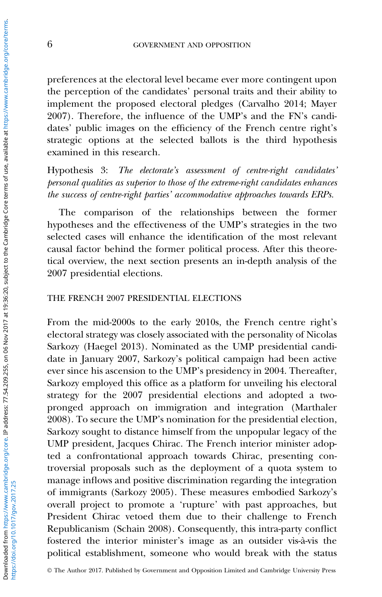preferences at the electoral level became ever more contingent upon the perception of the candidates' personal traits and their ability to implement the proposed electoral pledges (Carvalho [2014](#page-18-0); Mayer [2007\)](#page-20-0). Therefore, the influence of the UMP's and the FN's candidates' public images on the efficiency of the French centre right's strategic options at the selected ballots is the third hypothesis examined in this research.

Hypothesis 3: The electorate's assessment of centre-right candidates' personal qualities as superior to those of the extreme-right candidates enhances the success of centre-right parties' accommodative approaches towards ERPs.

The comparison of the relationships between the former hypotheses and the effectiveness of the UMP's strategies in the two selected cases will enhance the identification of the most relevant causal factor behind the former political process. After this theoretical overview, the next section presents an in-depth analysis of the 2007 presidential elections.

#### THE FRENCH 2007 PRESIDENTIAL ELECTIONS

From the mid-2000s to the early 2010s, the French centre right's electoral strategy was closely associated with the personality of Nicolas Sarkozy (Haegel [2013](#page-19-0)). Nominated as the UMP presidential candidate in January 2007, Sarkozy's political campaign had been active ever since his ascension to the UMP's presidency in 2004. Thereafter, Sarkozy employed this office as a platform for unveiling his electoral strategy for the 2007 presidential elections and adopted a twopronged approach on immigration and integration (Marthaler [2008\)](#page-19-0). To secure the UMP's nomination for the presidential election, Sarkozy sought to distance himself from the unpopular legacy of the UMP president, Jacques Chirac. The French interior minister adopted a confrontational approach towards Chirac, presenting controversial proposals such as the deployment of a quota system to manage inflows and positive discrimination regarding the integration of immigrants (Sarkozy [2005\)](#page-20-0). These measures embodied Sarkozy's overall project to promote a 'rupture' with past approaches, but President Chirac vetoed them due to their challenge to French Republicanism (Schain [2008](#page-20-0)). Consequently, this intra-party conflict fostered the interior minister's image as an outsider vis-à-vis the political establishment, someone who would break with the status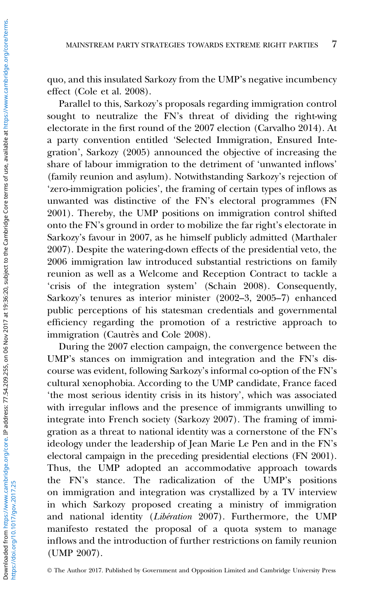quo, and this insulated Sarkozy from the UMP's negative incumbency effect (Cole et al. [2008](#page-18-0)).

Parallel to this, Sarkozy's proposals regarding immigration control sought to neutralize the FN's threat of dividing the right-wing electorate in the first round of the 2007 election (Carvalho [2014\)](#page-18-0). At a party convention entitled 'Selected Immigration, Ensured Integration', Sarkozy ([2005\)](#page-20-0) announced the objective of increasing the share of labour immigration to the detriment of 'unwanted inflows' (family reunion and asylum). Notwithstanding Sarkozy's rejection of 'zero-immigration policies', the framing of certain types of inflows as unwanted was distinctive of the FN's electoral programmes (FN [2001\)](#page-19-0). Thereby, the UMP positions on immigration control shifted onto the FN's ground in order to mobilize the far right's electorate in Sarkozy's favour in 2007, as he himself publicly admitted (Marthaler 2007). Despite the watering-down effects of the presidential veto, the 2006 immigration law introduced substantial restrictions on family reunion as well as a Welcome and Reception Contract to tackle a 'crisis of the integration system' (Schain [2008\)](#page-20-0). Consequently, Sarkozy's tenures as interior minister (2002–3, 2005–7) enhanced public perceptions of his statesman credentials and governmental efficiency regarding the promotion of a restrictive approach to immigration (Cautrès and Cole [2008](#page-18-0)).

During the 2007 election campaign, the convergence between the UMP's stances on immigration and integration and the FN's discourse was evident, following Sarkozy's informal co-option of the FN's cultural xenophobia. According to the UMP candidate, France faced 'the most serious identity crisis in its history', which was associated with irregular inflows and the presence of immigrants unwilling to integrate into French society (Sarkozy [2007\)](#page-20-0). The framing of immigration as a threat to national identity was a cornerstone of the FN's ideology under the leadership of Jean Marie Le Pen and in the FN's electoral campaign in the preceding presidential elections (FN [2001\)](#page-19-0). Thus, the UMP adopted an accommodative approach towards the FN's stance. The radicalization of the UMP's positions on immigration and integration was crystallized by a TV interview in which Sarkozy proposed creating a ministry of immigration and national identity (Libération [2007\)](#page-19-0). Furthermore, the UMP manifesto restated the proposal of a quota system to manage inflows and the introduction of further restrictions on family reunion (UMP [2007\)](#page-21-0).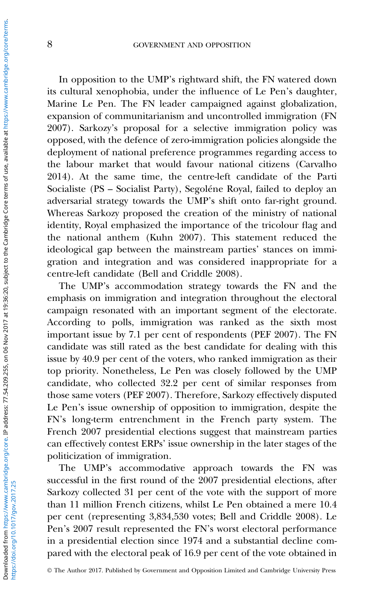In opposition to the UMP's rightward shift, the FN watered down its cultural xenophobia, under the influence of Le Pen's daughter, Marine Le Pen. The FN leader campaigned against globalization, expansion of communitarianism and uncontrolled immigration (FN [2007\)](#page-19-0). Sarkozy's proposal for a selective immigration policy was opposed, with the defence of zero-immigration policies alongside the deployment of national preference programmes regarding access to the labour market that would favour national citizens (Carvalho [2014\)](#page-18-0). At the same time, the centre-left candidate of the Parti Socialiste (PS – Socialist Party), Segoléne Royal, failed to deploy an adversarial strategy towards the UMP's shift onto far-right ground. Whereas Sarkozy proposed the creation of the ministry of national identity, Royal emphasized the importance of the tricolour flag and the national anthem (Kuhn [2007\)](#page-19-0). This statement reduced the ideological gap between the mainstream parties' stances on immigration and integration and was considered inappropriate for a centre-left candidate (Bell and Criddle [2008\)](#page-18-0).

The UMP's accommodation strategy towards the FN and the emphasis on immigration and integration throughout the electoral campaign resonated with an important segment of the electorate. According to polls, immigration was ranked as the sixth most important issue by 7.1 per cent of respondents (PEF [2007](#page-20-0)). The FN candidate was still rated as the best candidate for dealing with this issue by 40.9 per cent of the voters, who ranked immigration as their top priority. Nonetheless, Le Pen was closely followed by the UMP candidate, who collected 32.2 per cent of similar responses from those same voters (PEF [2007\)](#page-20-0). Therefore, Sarkozy effectively disputed Le Pen's issue ownership of opposition to immigration, despite the FN's long-term entrenchment in the French party system. The French 2007 presidential elections suggest that mainstream parties can effectively contest ERPs' issue ownership in the later stages of the politicization of immigration.

The UMP's accommodative approach towards the FN was successful in the first round of the 2007 presidential elections, after Sarkozy collected 31 per cent of the vote with the support of more than 11 million French citizens, whilst Le Pen obtained a mere 10.4 per cent (representing 3,834,530 votes; Bell and Criddle [2008](#page-18-0)). Le Pen's 2007 result represented the FN's worst electoral performance in a presidential election since 1974 and a substantial decline compared with the electoral peak of 16.9 per cent of the vote obtained in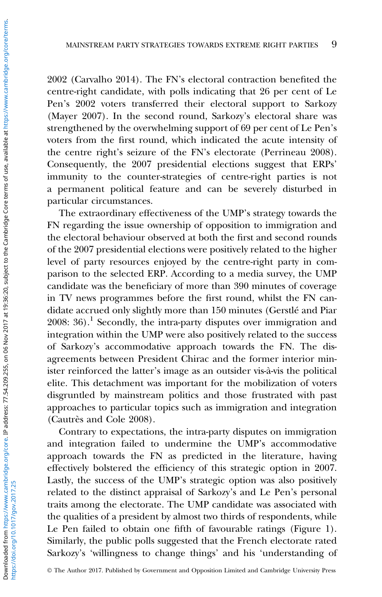2002 (Carvalho [2014\)](#page-18-0). The FN's electoral contraction benefited the centre-right candidate, with polls indicating that 26 per cent of Le Pen's 2002 voters transferred their electoral support to Sarkozy (Mayer [2007](#page-20-0)). In the second round, Sarkozy's electoral share was strengthened by the overwhelming support of 69 per cent of Le Pen's voters from the first round, which indicated the acute intensity of the centre right's seizure of the FN's electorate (Perrineau [2008](#page-20-0)). Consequently, the 2007 presidential elections suggest that ERPs' immunity to the counter-strategies of centre-right parties is not a permanent political feature and can be severely disturbed in particular circumstances.

The extraordinary effectiveness of the UMP's strategy towards the FN regarding the issue ownership of opposition to immigration and the electoral behaviour observed at both the first and second rounds of the 2007 presidential elections were positively related to the higher level of party resources enjoyed by the centre-right party in comparison to the selected ERP. According to a media survey, the UMP candidate was the beneficiary of more than 390 minutes of coverage in TV news programmes before the first round, whilst the FN candidate accrued only slightly more than 150 minutes (Gerstlé and Piar  $2008: 36$  $2008: 36$ .<sup>1</sup> Secondly, the intra-party disputes over immigration and integration within the UMP were also positively related to the success of Sarkozy's accommodative approach towards the FN. The disagreements between President Chirac and the former interior minister reinforced the latter's image as an outsider vis-à-vis the political elite. This detachment was important for the mobilization of voters disgruntled by mainstream politics and those frustrated with past approaches to particular topics such as immigration and integration (Cautrès and Cole [2008](#page-18-0)).

Contrary to expectations, the intra-party disputes on immigration and integration failed to undermine the UMP's accommodative approach towards the FN as predicted in the literature, having effectively bolstered the efficiency of this strategic option in 2007. Lastly, the success of the UMP's strategic option was also positively related to the distinct appraisal of Sarkozy's and Le Pen's personal traits among the electorate. The UMP candidate was associated with the qualities of a president by almost two thirds of respondents, while Le Pen failed to obtain one fifth of favourable ratings [\(Figure 1](#page-9-0)). Similarly, the public polls suggested that the French electorate rated Sarkozy's 'willingness to change things' and his 'understanding of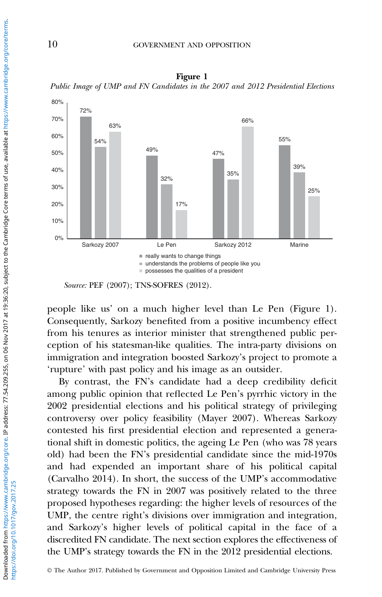

<span id="page-9-0"></span>Figure 1 Public Image of UMP and FN Candidates in the 2007 and 2012 Presidential Elections

people like us' on a much higher level than Le Pen (Figure 1). Consequently, Sarkozy benefited from a positive incumbency effect from his tenures as interior minister that strengthened public perception of his statesman-like qualities. The intra-party divisions on immigration and integration boosted Sarkozy's project to promote a 'rupture' with past policy and his image as an outsider.

By contrast, the FN's candidate had a deep credibility deficit among public opinion that reflected Le Pen's pyrrhic victory in the 2002 presidential elections and his political strategy of privileging controversy over policy feasibility (Mayer [2007](#page-20-0)). Whereas Sarkozy contested his first presidential election and represented a generational shift in domestic politics, the ageing Le Pen (who was 78 years old) had been the FN's presidential candidate since the mid-1970s and had expended an important share of his political capital (Carvalho [2014\)](#page-18-0). In short, the success of the UMP's accommodative strategy towards the FN in 2007 was positively related to the three proposed hypotheses regarding: the higher levels of resources of the UMP, the centre right's divisions over immigration and integration, and Sarkozy's higher levels of political capital in the face of a discredited FN candidate. The next section explores the effectiveness of the UMP's strategy towards the FN in the 2012 presidential elections.

© The Author 2017. Published by Government and Opposition Limited and Cambridge University Press

Source: PEF (2007); TNS-SOFRES (2012).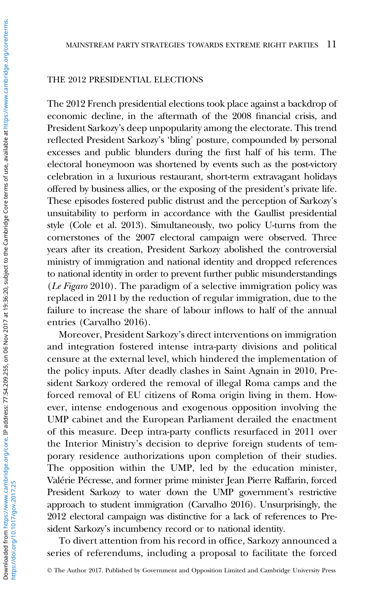#### THE 2012 PRESIDENTIAL ELECTIONS

The 2012 French presidential elections took place against a backdrop of economic decline, in the aftermath of the 2008 financial crisis, and President Sarkozy's deep unpopularity among the electorate. This trend reflected President Sarkozy's 'bling' posture, compounded by personal excesses and public blunders during the first half of his term. The electoral honeymoon was shortened by events such as the post-victory celebration in a luxurious restaurant, short-term extravagant holidays offered by business allies, or the exposing of the president's private life. These episodes fostered public distrust and the perception of Sarkozy's unsuitability to perform in accordance with the Gaullist presidential style (Cole et al. [2013\)](#page-18-0). Simultaneously, two policy U-turns from the cornerstones of the 2007 electoral campaign were observed. Three years after its creation, President Sarkozy abolished the controversial ministry of immigration and national identity and dropped references to national identity in order to prevent further public misunderstandings (Le Figaro [2010\)](#page-19-0). The paradigm of a selective immigration policy was replaced in 2011 by the reduction of regular immigration, due to the failure to increase the share of labour inflows to half of the annual entries (Carvalho [2016\)](#page-18-0).

Moreover, President Sarkozy's direct interventions on immigration and integration fostered intense intra-party divisions and political censure at the external level, which hindered the implementation of the policy inputs. After deadly clashes in Saint Agnain in 2010, President Sarkozy ordered the removal of illegal Roma camps and the forced removal of EU citizens of Roma origin living in them. However, intense endogenous and exogenous opposition involving the UMP cabinet and the European Parliament derailed the enactment of this measure. Deep intra-party conflicts resurfaced in 2011 over the Interior Ministry's decision to deprive foreign students of temporary residence authorizations upon completion of their studies. The opposition within the UMP, led by the education minister, Valérie Pécresse, and former prime minister Jean Pierre Raffarin, forced President Sarkozy to water down the UMP government's restrictive approach to student immigration (Carvalho [2016\)](#page-18-0). Unsurprisingly, the 2012 electoral campaign was distinctive for a lack of references to President Sarkozy's incumbency record or to national identity.

To divert attention from his record in office, Sarkozy announced a series of referendums, including a proposal to facilitate the forced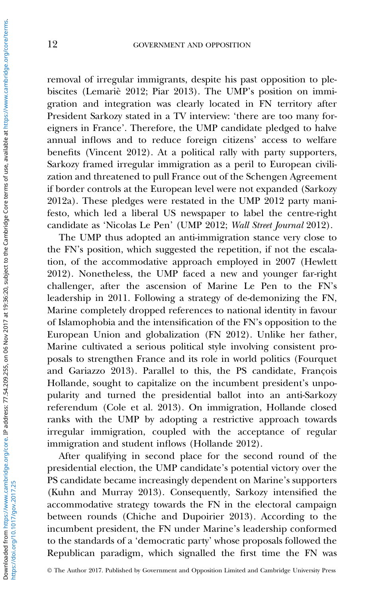removal of irregular immigrants, despite his past opposition to plebiscites (Lemariè [2012](#page-19-0); Piar [2013](#page-20-0)). The UMP's position on immigration and integration was clearly located in FN territory after President Sarkozy stated in a TV interview: 'there are too many foreigners in France'. Therefore, the UMP candidate pledged to halve annual inflows and to reduce foreign citizens' access to welfare benefits (Vincent [2012](#page-21-0)). At a political rally with party supporters, Sarkozy framed irregular immigration as a peril to European civilization and threatened to pull France out of the Schengen Agreement if border controls at the European level were not expanded (Sarkozy [2012a](#page-20-0)). These pledges were restated in the UMP [2012](#page-21-0) party manifesto, which led a liberal US newspaper to label the centre-right candidate as 'Nicolas Le Pen' (UMP [2012;](#page-21-0) Wall Street Journal [2012](#page-21-0)).

The UMP thus adopted an anti-immigration stance very close to the FN's position, which suggested the repetition, if not the escalation, of the accommodative approach employed in 2007 (Hewlett [2012\)](#page-19-0). Nonetheless, the UMP faced a new and younger far-right challenger, after the ascension of Marine Le Pen to the FN's leadership in 2011. Following a strategy of de-demonizing the FN, Marine completely dropped references to national identity in favour of Islamophobia and the intensification of the FN's opposition to the European Union and globalization (FN [2012\)](#page-19-0). Unlike her father, Marine cultivated a serious political style involving consistent proposals to strengthen France and its role in world politics (Fourquet and Gariazzo [2013\)](#page-19-0). Parallel to this, the PS candidate, François Hollande, sought to capitalize on the incumbent president's unpopularity and turned the presidential ballot into an anti-Sarkozy referendum (Cole et al. [2013\)](#page-18-0). On immigration, Hollande closed ranks with the UMP by adopting a restrictive approach towards irregular immigration, coupled with the acceptance of regular immigration and student inflows (Hollande [2012](#page-19-0)).

After qualifying in second place for the second round of the presidential election, the UMP candidate's potential victory over the PS candidate became increasingly dependent on Marine's supporters (Kuhn and Murray [2013\)](#page-19-0). Consequently, Sarkozy intensified the accommodative strategy towards the FN in the electoral campaign between rounds (Chiche and Dupoirier [2013](#page-18-0)). According to the incumbent president, the FN under Marine's leadership conformed to the standards of a 'democratic party' whose proposals followed the Republican paradigm, which signalled the first time the FN was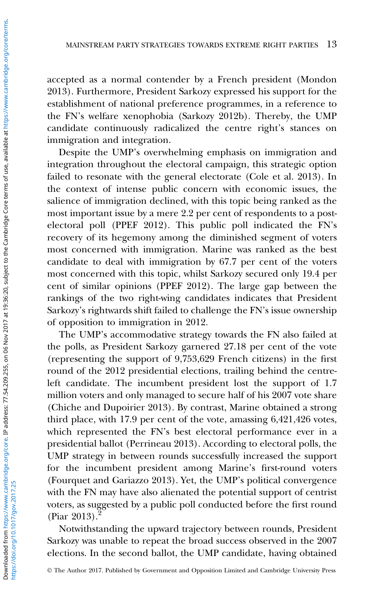accepted as a normal contender by a French president (Mondon [2013\)](#page-20-0). Furthermore, President Sarkozy expressed his support for the establishment of national preference programmes, in a reference to the FN's welfare xenophobia (Sarkozy [2012b\)](#page-20-0). Thereby, the UMP candidate continuously radicalized the centre right's stances on immigration and integration.

Despite the UMP's overwhelming emphasis on immigration and integration throughout the electoral campaign, this strategic option failed to resonate with the general electorate (Cole et al. [2013](#page-18-0)). In the context of intense public concern with economic issues, the salience of immigration declined, with this topic being ranked as the most important issue by a mere 2.2 per cent of respondents to a postelectoral poll (PPEF [2012](#page-20-0)). This public poll indicated the FN's recovery of its hegemony among the diminished segment of voters most concerned with immigration. Marine was ranked as the best candidate to deal with immigration by 67.7 per cent of the voters most concerned with this topic, whilst Sarkozy secured only 19.4 per cent of similar opinions (PPEF [2012\)](#page-20-0). The large gap between the rankings of the two right-wing candidates indicates that President Sarkozy's rightwards shift failed to challenge the FN's issue ownership of opposition to immigration in 2012.

The UMP's accommodative strategy towards the FN also failed at the polls, as President Sarkozy garnered 27.18 per cent of the vote (representing the support of 9,753,629 French citizens) in the first round of the 2012 presidential elections, trailing behind the centreleft candidate. The incumbent president lost the support of 1.7 million voters and only managed to secure half of his 2007 vote share (Chiche and Dupoirier [2013\)](#page-18-0). By contrast, Marine obtained a strong third place, with 17.9 per cent of the vote, amassing 6,421,426 votes, which represented the FN's best electoral performance ever in a presidential ballot (Perrineau 2013). According to electoral polls, the UMP strategy in between rounds successfully increased the support for the incumbent president among Marine's first-round voters (Fourquet and Gariazzo [2013\)](#page-19-0). Yet, the UMP's political convergence with the FN may have also alienated the potential support of centrist voters, as suggested by a public poll conducted before the first round  $($ Piar [2013\)](#page-20-0).

Notwithstanding the upward trajectory between rounds, President Sarkozy was unable to repeat the broad success observed in the 2007 elections. In the second ballot, the UMP candidate, having obtained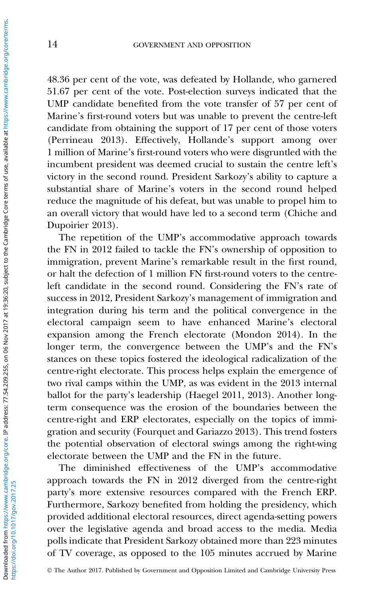48.36 per cent of the vote, was defeated by Hollande, who garnered 51.67 per cent of the vote. Post-election surveys indicated that the UMP candidate benefited from the vote transfer of 57 per cent of Marine's first-round voters but was unable to prevent the centre-left candidate from obtaining the support of 17 per cent of those voters (Perrineau 2013). Effectively, Hollande's support among over 1 million of Marine's first-round voters who were disgruntled with the incumbent president was deemed crucial to sustain the centre left's victory in the second round. President Sarkozy's ability to capture a substantial share of Marine's voters in the second round helped reduce the magnitude of his defeat, but was unable to propel him to an overall victory that would have led to a second term (Chiche and Dupoirier [2013\)](#page-18-0).

The repetition of the UMP's accommodative approach towards the FN in 2012 failed to tackle the FN's ownership of opposition to immigration, prevent Marine's remarkable result in the first round, or halt the defection of 1 million FN first-round voters to the centreleft candidate in the second round. Considering the FN's rate of success in 2012, President Sarkozy's management of immigration and integration during his term and the political convergence in the electoral campaign seem to have enhanced Marine's electoral expansion among the French electorate (Mondon [2014](#page-20-0)). In the longer term, the convergence between the UMP's and the FN's stances on these topics fostered the ideological radicalization of the centre-right electorate. This process helps explain the emergence of two rival camps within the UMP, as was evident in the 2013 internal ballot for the party's leadership (Haegel [2011, 2013](#page-19-0)). Another longterm consequence was the erosion of the boundaries between the centre-right and ERP electorates, especially on the topics of immigration and security (Fourquet and Gariazzo [2013](#page-19-0)). This trend fosters the potential observation of electoral swings among the right-wing electorate between the UMP and the FN in the future.

The diminished effectiveness of the UMP's accommodative approach towards the FN in 2012 diverged from the centre-right party's more extensive resources compared with the French ERP. Furthermore, Sarkozy benefited from holding the presidency, which provided additional electoral resources, direct agenda-setting powers over the legislative agenda and broad access to the media. Media polls indicate that President Sarkozy obtained more than 223 minutes of TV coverage, as opposed to the 105 minutes accrued by Marine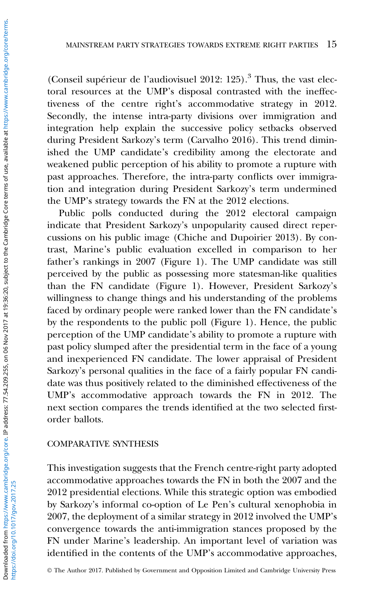(Conseil supérieur de l'audiovisuel  $2012: 125$ ).<sup>3</sup> Thus, the vast electoral resources at the UMP's disposal contrasted with the ineffectiveness of the centre right's accommodative strategy in 2012. Secondly, the intense intra-party divisions over immigration and integration help explain the successive policy setbacks observed during President Sarkozy's term (Carvalho [2016\)](#page-18-0). This trend diminished the UMP candidate's credibility among the electorate and weakened public perception of his ability to promote a rupture with past approaches. Therefore, the intra-party conflicts over immigration and integration during President Sarkozy's term undermined the UMP's strategy towards the FN at the 2012 elections.

Public polls conducted during the 2012 electoral campaign indicate that President Sarkozy's unpopularity caused direct repercussions on his public image (Chiche and Dupoirier [2013](#page-18-0)). By contrast, Marine's public evaluation excelled in comparison to her father's rankings in 2007 [\(Figure 1](#page-9-0)). The UMP candidate was still perceived by the public as possessing more statesman-like qualities than the FN candidate [\(Figure 1\)](#page-9-0). However, President Sarkozy's willingness to change things and his understanding of the problems faced by ordinary people were ranked lower than the FN candidate's by the respondents to the public poll ([Figure 1\)](#page-9-0). Hence, the public perception of the UMP candidate's ability to promote a rupture with past policy slumped after the presidential term in the face of a young and inexperienced FN candidate. The lower appraisal of President Sarkozy's personal qualities in the face of a fairly popular FN candidate was thus positively related to the diminished effectiveness of the UMP's accommodative approach towards the FN in 2012. The next section compares the trends identified at the two selected firstorder ballots.

#### COMPARATIVE SYNTHESIS

This investigation suggests that the French centre-right party adopted accommodative approaches towards the FN in both the 2007 and the 2012 presidential elections. While this strategic option was embodied by Sarkozy's informal co-option of Le Pen's cultural xenophobia in 2007, the deployment of a similar strategy in 2012 involved the UMP's convergence towards the anti-immigration stances proposed by the FN under Marine's leadership. An important level of variation was identified in the contents of the UMP's accommodative approaches,

© The Author 2017. Published by Government and Opposition Limited and Cambridge University Press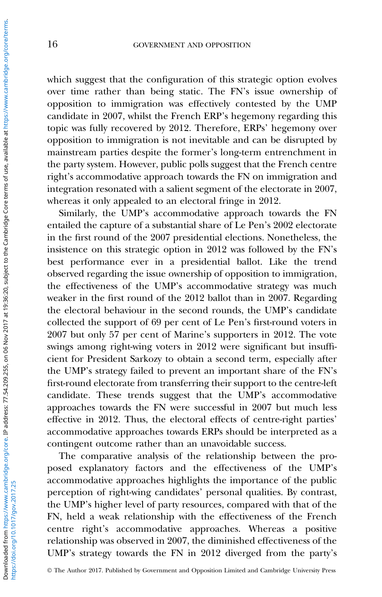which suggest that the configuration of this strategic option evolves over time rather than being static. The FN's issue ownership of opposition to immigration was effectively contested by the UMP candidate in 2007, whilst the French ERP's hegemony regarding this topic was fully recovered by 2012. Therefore, ERPs' hegemony over opposition to immigration is not inevitable and can be disrupted by mainstream parties despite the former's long-term entrenchment in the party system. However, public polls suggest that the French centre right's accommodative approach towards the FN on immigration and integration resonated with a salient segment of the electorate in 2007, whereas it only appealed to an electoral fringe in 2012.

Similarly, the UMP's accommodative approach towards the FN entailed the capture of a substantial share of Le Pen's 2002 electorate in the first round of the 2007 presidential elections. Nonetheless, the insistence on this strategic option in 2012 was followed by the FN's best performance ever in a presidential ballot. Like the trend observed regarding the issue ownership of opposition to immigration, the effectiveness of the UMP's accommodative strategy was much weaker in the first round of the 2012 ballot than in 2007. Regarding the electoral behaviour in the second rounds, the UMP's candidate collected the support of 69 per cent of Le Pen's first-round voters in 2007 but only 57 per cent of Marine's supporters in 2012. The vote swings among right-wing voters in 2012 were significant but insufficient for President Sarkozy to obtain a second term, especially after the UMP's strategy failed to prevent an important share of the FN's first-round electorate from transferring their support to the centre-left candidate. These trends suggest that the UMP's accommodative approaches towards the FN were successful in 2007 but much less effective in 2012. Thus, the electoral effects of centre-right parties' accommodative approaches towards ERPs should be interpreted as a contingent outcome rather than an unavoidable success.

The comparative analysis of the relationship between the proposed explanatory factors and the effectiveness of the UMP's accommodative approaches highlights the importance of the public perception of right-wing candidates' personal qualities. By contrast, the UMP's higher level of party resources, compared with that of the FN, held a weak relationship with the effectiveness of the French centre right's accommodative approaches. Whereas a positive relationship was observed in 2007, the diminished effectiveness of the UMP's strategy towards the FN in 2012 diverged from the party's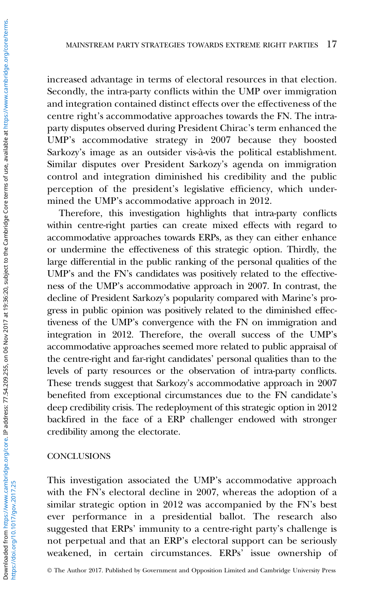increased advantage in terms of electoral resources in that election. Secondly, the intra-party conflicts within the UMP over immigration and integration contained distinct effects over the effectiveness of the centre right's accommodative approaches towards the FN. The intraparty disputes observed during President Chirac's term enhanced the UMP's accommodative strategy in 2007 because they boosted Sarkozy's image as an outsider vis-à-vis the political establishment. Similar disputes over President Sarkozy's agenda on immigration control and integration diminished his credibility and the public perception of the president's legislative efficiency, which undermined the UMP's accommodative approach in 2012.

Therefore, this investigation highlights that intra-party conflicts within centre-right parties can create mixed effects with regard to accommodative approaches towards ERPs, as they can either enhance or undermine the effectiveness of this strategic option. Thirdly, the large differential in the public ranking of the personal qualities of the UMP's and the FN's candidates was positively related to the effectiveness of the UMP's accommodative approach in 2007. In contrast, the decline of President Sarkozy's popularity compared with Marine's progress in public opinion was positively related to the diminished effectiveness of the UMP's convergence with the FN on immigration and integration in 2012. Therefore, the overall success of the UMP's accommodative approaches seemed more related to public appraisal of the centre-right and far-right candidates' personal qualities than to the levels of party resources or the observation of intra-party conflicts. These trends suggest that Sarkozy's accommodative approach in 2007 benefited from exceptional circumstances due to the FN candidate's deep credibility crisis. The redeployment of this strategic option in 2012 backfired in the face of a ERP challenger endowed with stronger credibility among the electorate.

#### **CONCLUSIONS**

This investigation associated the UMP's accommodative approach with the FN's electoral decline in 2007, whereas the adoption of a similar strategic option in 2012 was accompanied by the FN's best ever performance in a presidential ballot. The research also suggested that ERPs' immunity to a centre-right party's challenge is not perpetual and that an ERP's electoral support can be seriously weakened, in certain circumstances. ERPs' issue ownership of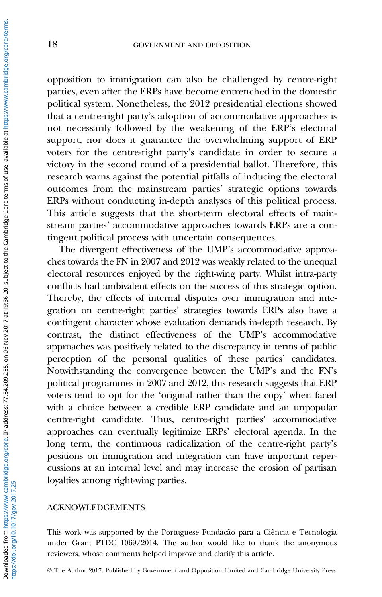opposition to immigration can also be challenged by centre-right parties, even after the ERPs have become entrenched in the domestic political system. Nonetheless, the 2012 presidential elections showed that a centre-right party's adoption of accommodative approaches is not necessarily followed by the weakening of the ERP's electoral support, nor does it guarantee the overwhelming support of ERP voters for the centre-right party's candidate in order to secure a victory in the second round of a presidential ballot. Therefore, this research warns against the potential pitfalls of inducing the electoral outcomes from the mainstream parties' strategic options towards ERPs without conducting in-depth analyses of this political process. This article suggests that the short-term electoral effects of mainstream parties' accommodative approaches towards ERPs are a contingent political process with uncertain consequences.

The divergent effectiveness of the UMP's accommodative approaches towards the FN in 2007 and 2012 was weakly related to the unequal electoral resources enjoyed by the right-wing party. Whilst intra-party conflicts had ambivalent effects on the success of this strategic option. Thereby, the effects of internal disputes over immigration and integration on centre-right parties' strategies towards ERPs also have a contingent character whose evaluation demands in-depth research. By contrast, the distinct effectiveness of the UMP's accommodative approaches was positively related to the discrepancy in terms of public perception of the personal qualities of these parties' candidates. Notwithstanding the convergence between the UMP's and the FN's political programmes in 2007 and 2012, this research suggests that ERP voters tend to opt for the 'original rather than the copy' when faced with a choice between a credible ERP candidate and an unpopular centre-right candidate. Thus, centre-right parties' accommodative approaches can eventually legitimize ERPs' electoral agenda. In the long term, the continuous radicalization of the centre-right party's positions on immigration and integration can have important repercussions at an internal level and may increase the erosion of partisan loyalties among right-wing parties.

#### ACKNOWLEDGEMENTS

This work was supported by the Portuguese Fundação para a Ciência e Tecnologia under Grant PTDC 1069/2014. The author would like to thank the anonymous reviewers, whose comments helped improve and clarify this article.

© The Author 2017. Published by Government and Opposition Limited and Cambridge University Press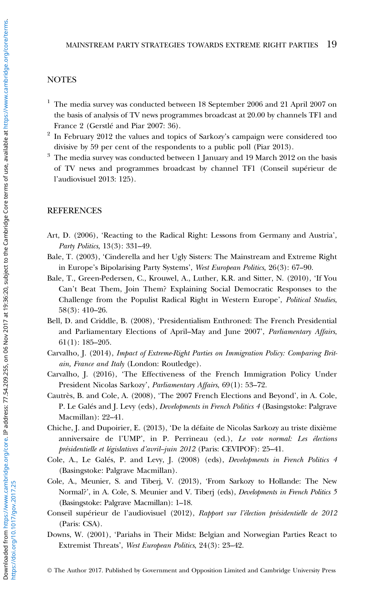#### <span id="page-18-0"></span>**NOTES**

- <sup>1</sup> The media survey was conducted between 18 September 2006 and 21 April 2007 on the basis of analysis of TV news programmes broadcast at 20.00 by channels TF1 and France 2 (Gerstlé and Piar 2007: 36).
- $2$  In February 2012 the values and topics of Sarkozy's campaign were considered too divisive by 59 per cent of the respondents to a public poll (Piar [2013](#page-20-0)).
- <sup>3</sup> The media survey was conducted between 1 January and 19 March 2012 on the basis of TV news and programmes broadcast by channel TF1 (Conseil supérieur de l'audiovisuel 2013: 125).

#### **REFERENCES**

- Art, D. (2006), 'Reacting to the Radical Right: Lessons from Germany and Austria', Party Politics, 13(3): 331–49.
- Bale, T. (2003), 'Cinderella and her Ugly Sisters: The Mainstream and Extreme Right in Europe's Bipolarising Party Systems', West European Politics, 26(3): 67–90.
- Bale, T., Green-Pedersen, C., Krouwel, A., Luther, K.R. and Sitter, N. (2010), 'If You Can't Beat Them, Join Them? Explaining Social Democratic Responses to the Challenge from the Populist Radical Right in Western Europe', Political Studies, 58(3): 410–26.
- Bell, D. and Criddle, B. (2008), 'Presidentialism Enthroned: The French Presidential and Parliamentary Elections of April–May and June 2007', Parliamentary Affairs, 61(1): 185–205.
- Carvalho, J. (2014), Impact of Extreme-Right Parties on Immigration Policy: Comparing Britain, France and Italy (London: Routledge).
- Carvalho, J. (2016), 'The Effectiveness of the French Immigration Policy Under President Nicolas Sarkozy', Parliamentary Affairs, 69(1): 53–72.
- Cautrès, B. and Cole, A. (2008), 'The 2007 French Elections and Beyond', in A. Cole, P. Le Galés and J. Levy (eds), *Developments in French Politics 4* (Basingstoke: Palgrave Macmillan): 22–41.
- Chiche, J. and Dupoirier, E. (2013), 'De la défaite de Nicolas Sarkozy au triste dixième anniversaire de l'UMP', in P. Perrineau (ed.), Le vote normal: Les élections présidentielle et législatives d'avril–juin 2012 (Paris: CEVIPOF): 25–41.
- Cole, A., Le Galés, P. and Levy, J. (2008) (eds), Developments in French Politics 4 (Basingstoke: Palgrave Macmillan).
- Cole, A., Meunier, S. and Tiberj, V. (2013), 'From Sarkozy to Hollande: The New Normal?', in A. Cole, S. Meunier and V. Tiberj (eds), *Developments in French Politics* 5 (Basingstoke: Palgrave Macmillan): 1–18.
- Conseil supérieur de l'audiovisuel (2012), Rapport sur l'élection présidentielle de 2012 (Paris: CSA).
- Downs, W. (2001), 'Pariahs in Their Midst: Belgian and Norwegian Parties React to Extremist Threats', West European Politics, 24(3): 23–42.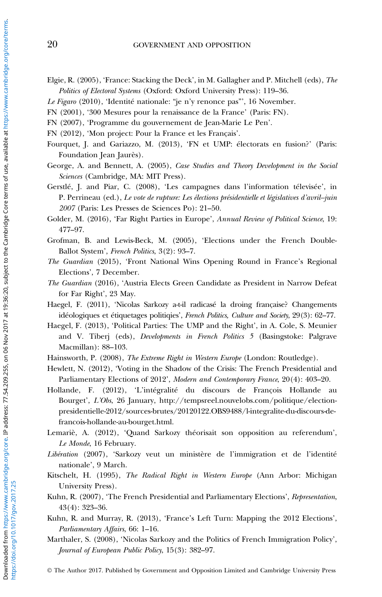- <span id="page-19-0"></span>Elgie, R. (2005), 'France: Stacking the Deck', in M. Gallagher and P. Mitchell (eds), The Politics of Electoral Systems (Oxford: Oxford University Press): 119–36.
- Le Figaro (2010), 'Identité nationale: "je n'y renonce pas"', 16 November.
- FN (2001), '300 Mesures pour la renaissance de la France' (Paris: FN).
- FN (2007), 'Programme du gouvernement de Jean-Marie Le Pen'.
- FN (2012), 'Mon project: Pour la France et les Français'.
- Fourquet, J. and Gariazzo, M. (2013), 'FN et UMP: électorats en fusion?' (Paris: Foundation Jean Jaurès).
- George, A. and Bennett, A. (2005), Case Studies and Theory Development in the Social Sciences (Cambridge, MA: MIT Press).
- Gerstlé, J. and Piar, C. (2008), 'Les campagnes dans l'information télevisée', in P. Perrineau (ed.), Le vote de rupture: Les élections présidentielle et législatives d'avril–juin 2007 (Paris: Les Presses de Sciences Po): 21–50.
- Golder, M. (2016), 'Far Right Parties in Europe', Annual Review of Political Science, 19: 477–97.
- Grofman, B. and Lewis-Beck, M. (2005), 'Elections under the French Double-Ballot System', French Politics, 3(2): 93–7.
- The Guardian (2015), 'Front National Wins Opening Round in France's Regional Elections', 7 December.
- The Guardian (2016), 'Austria Elects Green Candidate as President in Narrow Defeat for Far Right', 23 May.
- Haegel, F. (2011), 'Nicolas Sarkozy a-t-il radicasé la droing française? Changements idéologiques et étiquetages politiqies', French Politics, Culture and Society, 29(3): 62–77.
- Haegel, F. (2013), 'Political Parties: The UMP and the Right', in A. Cole, S. Meunier and V. Tiberj (eds), Developments in French Politics 5 (Basingstoke: Palgrave Macmillan): 88–103.
- Hainsworth, P. (2008), The Extreme Right in Western Europe (London: Routledge).
- Hewlett, N. (2012), 'Voting in the Shadow of the Crisis: The French Presidential and Parliamentary Elections of 2012', Modern and Contemporary France, 20(4): 403–20.
- Hollande, F. (2012), 'L'intégralité du discours de François Hollande au Bourget', L'Obs, 26 January, [http://tempsreel.nouvelobs.com/politique/election](http://tempsreel.nouvelobs.com/politique/election-presidentielle-2012/sources-brutes/20120122.OBS9488/l-integralite-du-discours-de-francois-hollande-au-bourget.html)[presidentielle-2012/sources-brutes/20120122.OBS9488/l-integralite-du-discours-de](http://tempsreel.nouvelobs.com/politique/election-presidentielle-2012/sources-brutes/20120122.OBS9488/l-integralite-du-discours-de-francois-hollande-au-bourget.html)[francois-hollande-au-bourget.html](http://tempsreel.nouvelobs.com/politique/election-presidentielle-2012/sources-brutes/20120122.OBS9488/l-integralite-du-discours-de-francois-hollande-au-bourget.html).
- Lemariè, A. (2012), 'Quand Sarkozy théorisait son opposition au referendum', Le Monde, 16 February.
- Libération (2007), 'Sarkozy veut un ministère de l'immigration et de l'identité nationale', 9 March.
- Kitschelt, H. (1995), The Radical Right in Western Europe (Ann Arbor: Michigan University Press).
- Kuhn, R. (2007), 'The French Presidential and Parliamentary Elections', Representation, 43(4): 323–36.
- Kuhn, R. and Murray, R. (2013), 'France's Left Turn: Mapping the 2012 Elections', Parliamentary Affairs, 66: 1–16.
- Marthaler, S. (2008), 'Nicolas Sarkozy and the Politics of French Immigration Policy', Journal of European Public Policy, 15(3): 382–97.

© The Author 2017. Published by Government and Opposition Limited and Cambridge University Press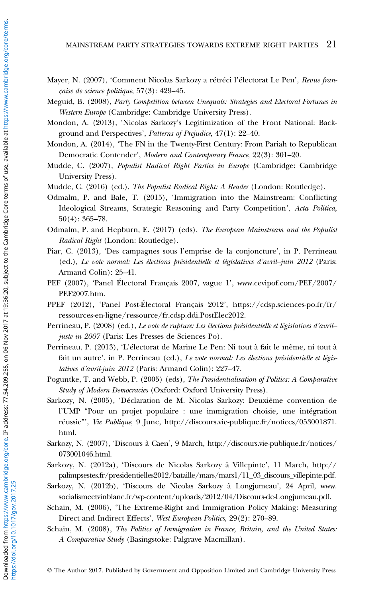<span id="page-20-0"></span>Mayer, N. (2007), 'Comment Nicolas Sarkozy a rétréci l'électorat Le Pen', Revue française de science politique, 57(3): 429–45.

Meguid, B. (2008), Party Competition between Unequals: Strategies and Electoral Fortunes in Western Europe (Cambridge: Cambridge University Press).

- Mondon, A. (2013), 'Nicolas Sarkozy's Legitimization of the Front National: Background and Perspectives', Patterns of Prejudice, 47(1): 22-40.
- Mondon, A. (2014), 'The FN in the Twenty-First Century: From Pariah to Republican Democratic Contender', Modern and Contemporary France, 22(3): 301–20.
- Mudde, C. (2007), Populist Radical Right Parties in Europe (Cambridge: Cambridge University Press).
- Mudde, C. (2016) (ed.), The Populist Radical Right: A Reader (London: Routledge).
- Odmalm, P. and Bale, T. (2015), 'Immigration into the Mainstream: Conflicting Ideological Streams, Strategic Reasoning and Party Competition', Acta Política, 50(4): 365–78.
- Odmalm, P. and Hepburn, E. (2017) (eds), The European Mainstream and the Populist Radical Right (London: Routledge).
- Piar, C. (2013), 'Des campagnes sous l'emprise de la conjoncture', in P. Perrineau (ed.), Le vote normal: Les élections présidentielle et législatives d'avril–juin 2012 (Paris: Armand Colin): 25–41.
- PEF (2007), 'Panel Électoral Français 2007, vague 1', [www.cevipof.com/PEF/2007/](www.cevipof.com/PEF/2007/PEF2007.htm) [PEF2007.htm](www.cevipof.com/PEF/2007/PEF2007.htm).
- PPEF (2012), 'Panel Post-Électoral Français 2012', [https://cdsp.sciences-po.fr/fr/](https://cdsp.sciences-po.fr/fr/ressources-en-ligne/ressource/fr.cdsp.ddi.PostElec2012) [ressources-en-ligne/ressource/fr.cdsp.ddi.PostElec2012](https://cdsp.sciences-po.fr/fr/ressources-en-ligne/ressource/fr.cdsp.ddi.PostElec2012).
- Perrineau, P. (2008) (ed.), Le vote de rupture: Les élections présidentielle et législatives d'avriljuste in 2007 (Paris: Les Presses de Sciences Po).
- Perrineau, P. (2013), 'L'électorat de Marine Le Pen: Ni tout à fait le même, ni tout à fait un autre', in P. Perrineau (ed.), Le vote normal: Les élections présidentielle et législatives d'avril-juin 2012 (Paris: Armand Colin): 227–47.
- Poguntke, T. and Webb, P. (2005) (eds), The Presidentialisation of Politics: A Comparative Study of Modern Democracies (Oxford: Oxford University Press).
- Sarkozy, N. (2005), 'Déclaration de M. Nicolas Sarkozy: Deuxième convention de l'UMP "Pour un projet populaire : une immigration choisie, une intégration réussie"', Vie Publique, 9 June, [http://discours.vie-publique.fr/notices/053001871.](http://discours.vie-publique.fr/notices/053001871.html) [html](http://discours.vie-publique.fr/notices/053001871.html).
- Sarkozy, N. (2007), 'Discours à Caen', 9 March, [http://discours.vie-publique.fr/notices/](http://discours.vie-publique.fr/notices/073001046.html) [073001046.html.](http://discours.vie-publique.fr/notices/073001046.html)
- Sarkozy, N. (2012a), 'Discours de Nicolas Sarkozy à Villepinte', 11 March, [http://](http://palimpsestes.fr/presidentielles2012/bataille/mars/mars1�/�11_03_discours_villepinte.pdf) [palimpsestes.fr/presidentielles2012/bataille/mars/mars1/11\\_03\\_discours\\_villepinte.pdf](http://palimpsestes.fr/presidentielles2012/bataille/mars/mars1�/�11_03_discours_villepinte.pdf).
- Sarkozy, N. (2012b), 'Discours de Nicolas Sarkozy à Longjumeau', 24 April, [www.](www.socialismeetvinblanc.�fr/wp-content/uploads/2012�/�04/Discours-de-Longjumeau.pdf) [socialismeetvinblanc.fr/wp-content/uploads/2012/04/Discours-de-Longjumeau.pdf.](www.socialismeetvinblanc.�fr/wp-content/uploads/2012�/�04/Discours-de-Longjumeau.pdf)
- Schain, M. (2006), 'The Extreme-Right and Immigration Policy Making: Measuring Direct and Indirect Effects', West European Politics, 29(2): 270–89.
- Schain, M. (2008), The Politics of Immigration in France, Britain, and the United States: A Comparative Study (Basingstoke: Palgrave Macmillan).